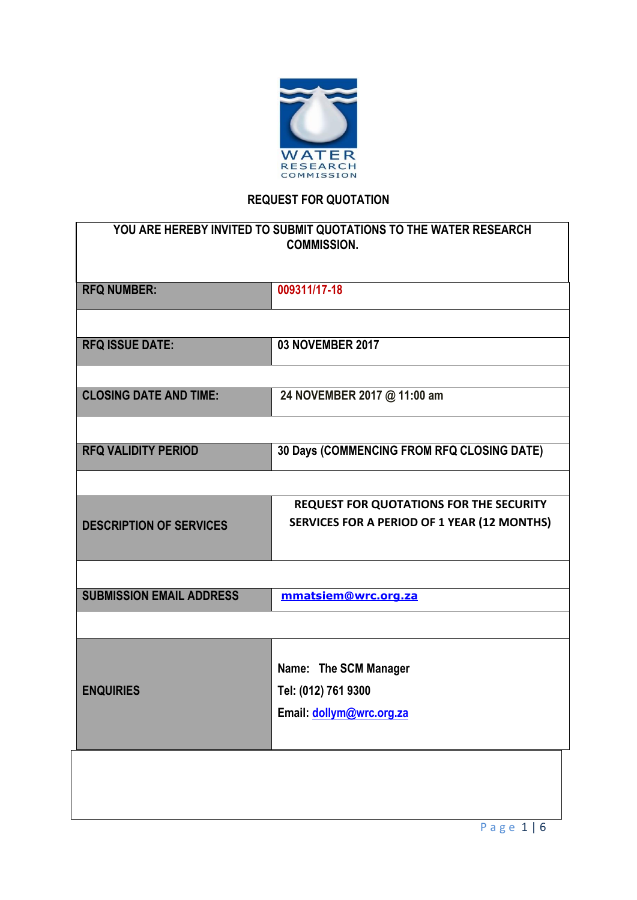

# **REQUEST FOR QUOTATION**

| YOU ARE HEREBY INVITED TO SUBMIT QUOTATIONS TO THE WATER RESEARCH<br><b>COMMISSION.</b> |                                              |  |  |
|-----------------------------------------------------------------------------------------|----------------------------------------------|--|--|
| <b>RFQ NUMBER:</b>                                                                      | 009311/17-18                                 |  |  |
|                                                                                         |                                              |  |  |
| <b>RFQ ISSUE DATE:</b>                                                                  | <b>03 NOVEMBER 2017</b>                      |  |  |
|                                                                                         |                                              |  |  |
| <b>CLOSING DATE AND TIME:</b>                                                           | 24 NOVEMBER 2017 @ 11:00 am                  |  |  |
|                                                                                         |                                              |  |  |
| <b>RFQ VALIDITY PERIOD</b>                                                              | 30 Days (COMMENCING FROM RFQ CLOSING DATE)   |  |  |
|                                                                                         |                                              |  |  |
|                                                                                         | REQUEST FOR QUOTATIONS FOR THE SECURITY      |  |  |
| <b>DESCRIPTION OF SERVICES</b>                                                          | SERVICES FOR A PERIOD OF 1 YEAR (12 MONTHS)  |  |  |
|                                                                                         |                                              |  |  |
| <b>SUBMISSION EMAIL ADDRESS</b>                                                         | mmatsiem@wrc.org.za                          |  |  |
|                                                                                         |                                              |  |  |
|                                                                                         |                                              |  |  |
| <b>ENQUIRIES</b>                                                                        | Name: The SCM Manager<br>Tel: (012) 761 9300 |  |  |
|                                                                                         | Email: dollym@wrc.org.za                     |  |  |
|                                                                                         |                                              |  |  |
|                                                                                         |                                              |  |  |
|                                                                                         |                                              |  |  |
|                                                                                         |                                              |  |  |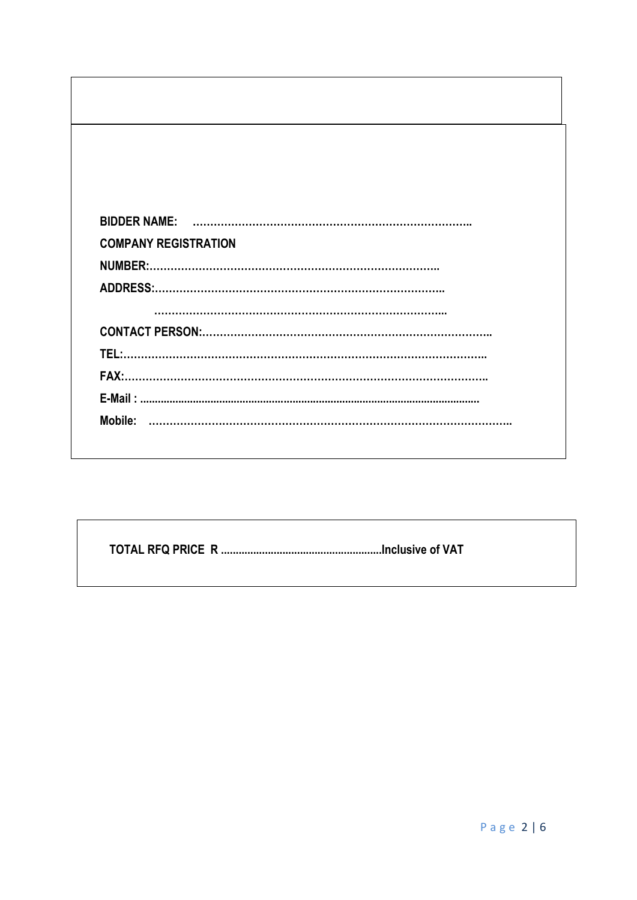| <b>COMPANY REGISTRATION</b> |  |
|-----------------------------|--|
|                             |  |
|                             |  |
|                             |  |
|                             |  |
|                             |  |
|                             |  |
|                             |  |
| Mobile:                     |  |
|                             |  |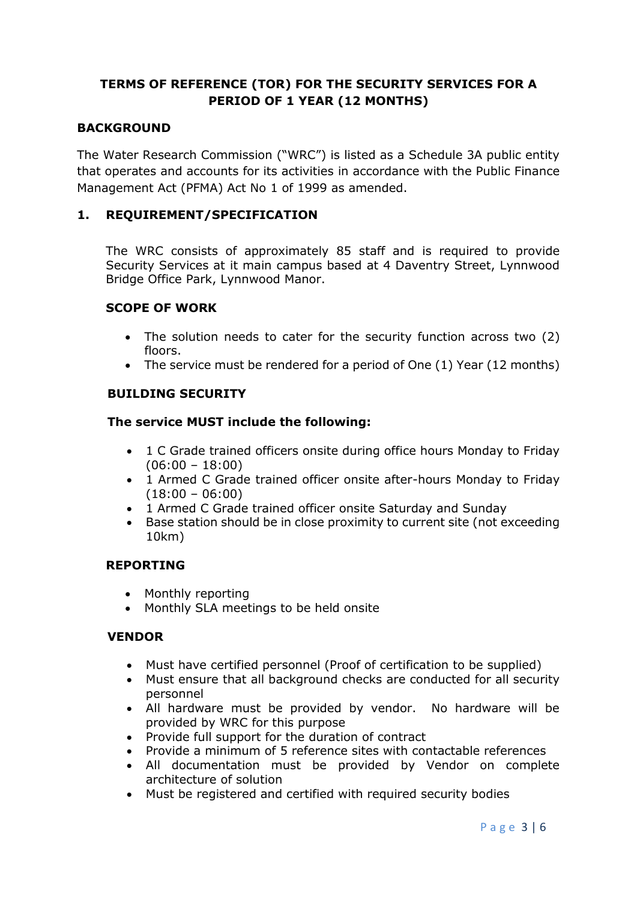# **TERMS OF REFERENCE (TOR) FOR THE SECURITY SERVICES FOR A PERIOD OF 1 YEAR (12 MONTHS)**

# **BACKGROUND**

The Water Research Commission ("WRC") is listed as a Schedule 3A public entity that operates and accounts for its activities in accordance with the Public Finance Management Act (PFMA) Act No 1 of 1999 as amended.

# **1. REQUIREMENT/SPECIFICATION**

The WRC consists of approximately 85 staff and is required to provide Security Services at it main campus based at 4 Daventry Street, Lynnwood Bridge Office Park, Lynnwood Manor.

## **SCOPE OF WORK**

- The solution needs to cater for the security function across two (2) floors.
- $\bullet$  The service must be rendered for a period of One (1) Year (12 months)

### **BUILDING SECURITY**

### **The service MUST include the following:**

- 1 C Grade trained officers onsite during office hours Monday to Friday  $(06:00 - 18:00)$
- 1 Armed C Grade trained officer onsite after-hours Monday to Friday  $(18:00 - 06:00)$
- 1 Armed C Grade trained officer onsite Saturday and Sunday
- Base station should be in close proximity to current site (not exceeding 10km)

#### **REPORTING**

- Monthly reporting
- Monthly SLA meetings to be held onsite

## **VENDOR**

- Must have certified personnel (Proof of certification to be supplied)
- Must ensure that all background checks are conducted for all security personnel
- All hardware must be provided by vendor. No hardware will be provided by WRC for this purpose
- Provide full support for the duration of contract
- Provide a minimum of 5 reference sites with contactable references
- All documentation must be provided by Vendor on complete architecture of solution
- Must be registered and certified with required security bodies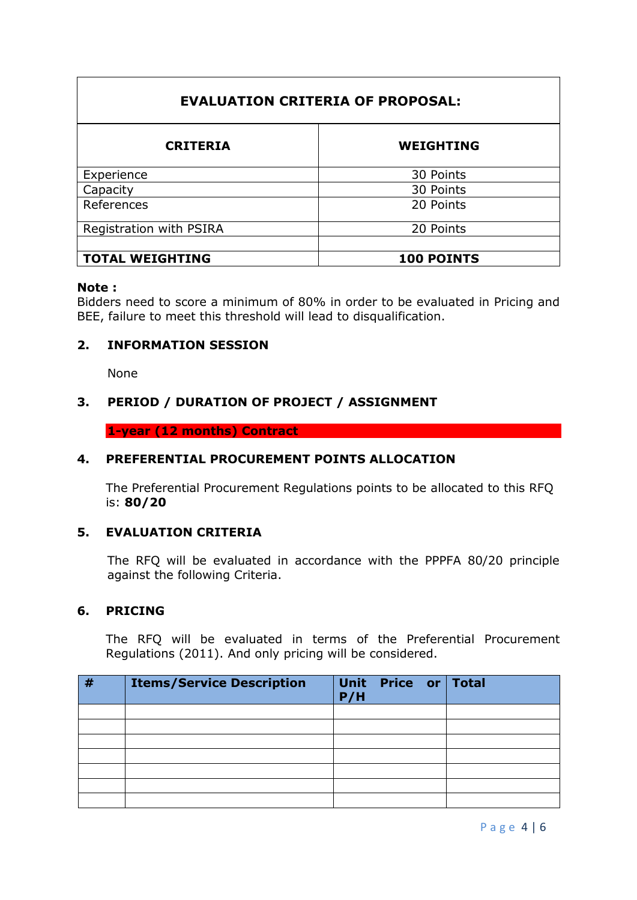# **EVALUATION CRITERIA OF PROPOSAL:**

| <b>CRITERIA</b>         | <b>WEIGHTING</b> |  |  |  |  |
|-------------------------|------------------|--|--|--|--|
| Experience              | 30 Points        |  |  |  |  |
| Capacity                | 30 Points        |  |  |  |  |
| References              | 20 Points        |  |  |  |  |
| Registration with PSIRA | 20 Points        |  |  |  |  |
|                         |                  |  |  |  |  |
| <b>TOTAL WEIGHTING</b>  | 100 POINTS       |  |  |  |  |

#### **Note :**

Bidders need to score a minimum of 80% in order to be evaluated in Pricing and BEE, failure to meet this threshold will lead to disqualification.

## **2. INFORMATION SESSION**

None

# **3. PERIOD / DURATION OF PROJECT / ASSIGNMENT**

**1-year (12 months) Contract** 

## **4. PREFERENTIAL PROCUREMENT POINTS ALLOCATION**

The Preferential Procurement Regulations points to be allocated to this RFQ is: **80/20**

## **5. EVALUATION CRITERIA**

The RFQ will be evaluated in accordance with the PPPFA 80/20 principle against the following Criteria.

## **6. PRICING**

The RFQ will be evaluated in terms of the Preferential Procurement Regulations (2011). And only pricing will be considered.

| # | <b>Items/Service Description</b> | P/H | Unit Price or Total |  |
|---|----------------------------------|-----|---------------------|--|
|   |                                  |     |                     |  |
|   |                                  |     |                     |  |
|   |                                  |     |                     |  |
|   |                                  |     |                     |  |
|   |                                  |     |                     |  |
|   |                                  |     |                     |  |
|   |                                  |     |                     |  |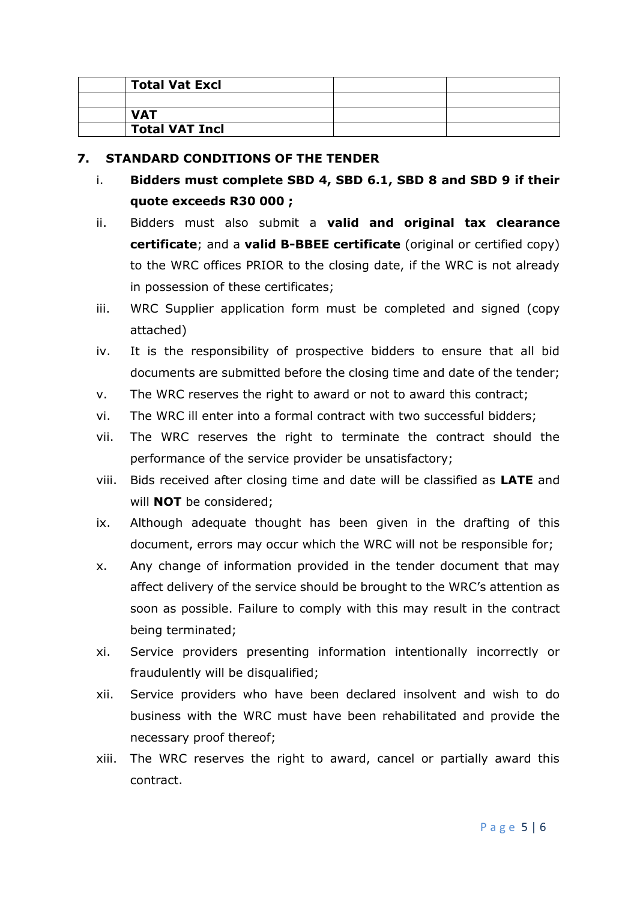| <b>Total Vat Excl</b> |  |
|-----------------------|--|
|                       |  |
| <b>VAT</b>            |  |
| <b>Total VAT Incl</b> |  |

## **7. STANDARD CONDITIONS OF THE TENDER**

- i. **Bidders must complete SBD 4, SBD 6.1, SBD 8 and SBD 9 if their quote exceeds R30 000 ;**
- ii. Bidders must also submit a **valid and original tax clearance certificate**; and a **valid B-BBEE certificate** (original or certified copy) to the WRC offices PRIOR to the closing date, if the WRC is not already in possession of these certificates;
- iii. WRC Supplier application form must be completed and signed (copy attached)
- iv. It is the responsibility of prospective bidders to ensure that all bid documents are submitted before the closing time and date of the tender;
- v. The WRC reserves the right to award or not to award this contract;
- vi. The WRC ill enter into a formal contract with two successful bidders;
- vii. The WRC reserves the right to terminate the contract should the performance of the service provider be unsatisfactory;
- viii. Bids received after closing time and date will be classified as **LATE** and will **NOT** be considered;
- ix. Although adequate thought has been given in the drafting of this document, errors may occur which the WRC will not be responsible for;
- x. Any change of information provided in the tender document that may affect delivery of the service should be brought to the WRC's attention as soon as possible. Failure to comply with this may result in the contract being terminated;
- xi. Service providers presenting information intentionally incorrectly or fraudulently will be disqualified;
- xii. Service providers who have been declared insolvent and wish to do business with the WRC must have been rehabilitated and provide the necessary proof thereof;
- xiii. The WRC reserves the right to award, cancel or partially award this contract.